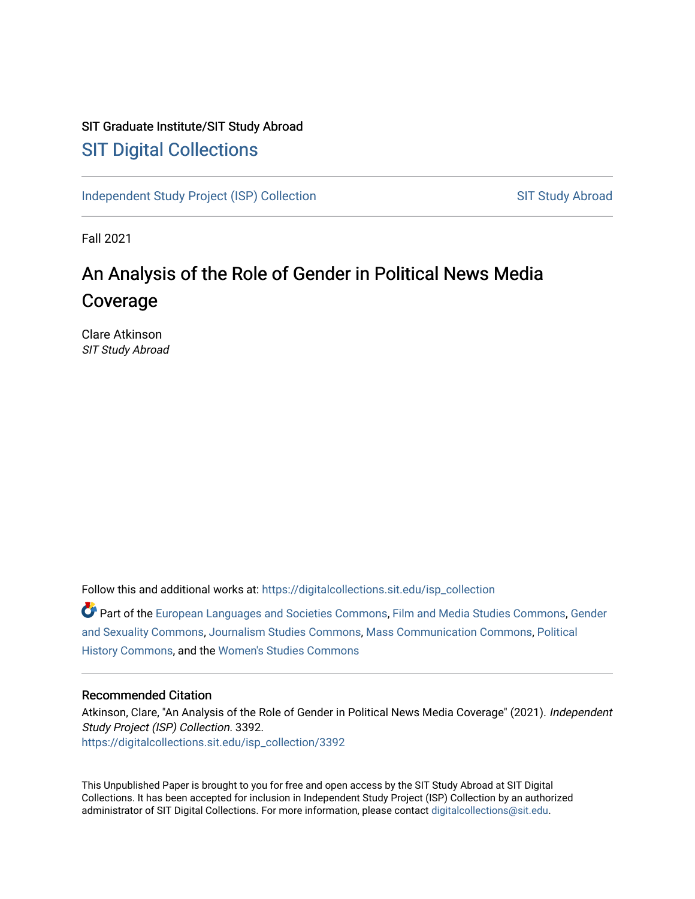## SIT Graduate Institute/SIT Study Abroad [SIT Digital Collections](https://digitalcollections.sit.edu/)

[Independent Study Project \(ISP\) Collection](https://digitalcollections.sit.edu/isp_collection) SIT Study Abroad

Fall 2021

# An Analysis of the Role of Gender in Political News Media Coverage

Clare Atkinson SIT Study Abroad

Follow this and additional works at: [https://digitalcollections.sit.edu/isp\\_collection](https://digitalcollections.sit.edu/isp_collection?utm_source=digitalcollections.sit.edu%2Fisp_collection%2F3392&utm_medium=PDF&utm_campaign=PDFCoverPages) 

Part of the [European Languages and Societies Commons,](http://network.bepress.com/hgg/discipline/482?utm_source=digitalcollections.sit.edu%2Fisp_collection%2F3392&utm_medium=PDF&utm_campaign=PDFCoverPages) [Film and Media Studies Commons](http://network.bepress.com/hgg/discipline/563?utm_source=digitalcollections.sit.edu%2Fisp_collection%2F3392&utm_medium=PDF&utm_campaign=PDFCoverPages), [Gender](http://network.bepress.com/hgg/discipline/420?utm_source=digitalcollections.sit.edu%2Fisp_collection%2F3392&utm_medium=PDF&utm_campaign=PDFCoverPages)  [and Sexuality Commons,](http://network.bepress.com/hgg/discipline/420?utm_source=digitalcollections.sit.edu%2Fisp_collection%2F3392&utm_medium=PDF&utm_campaign=PDFCoverPages) [Journalism Studies Commons](http://network.bepress.com/hgg/discipline/333?utm_source=digitalcollections.sit.edu%2Fisp_collection%2F3392&utm_medium=PDF&utm_campaign=PDFCoverPages), [Mass Communication Commons](http://network.bepress.com/hgg/discipline/334?utm_source=digitalcollections.sit.edu%2Fisp_collection%2F3392&utm_medium=PDF&utm_campaign=PDFCoverPages), [Political](http://network.bepress.com/hgg/discipline/505?utm_source=digitalcollections.sit.edu%2Fisp_collection%2F3392&utm_medium=PDF&utm_campaign=PDFCoverPages) [History Commons](http://network.bepress.com/hgg/discipline/505?utm_source=digitalcollections.sit.edu%2Fisp_collection%2F3392&utm_medium=PDF&utm_campaign=PDFCoverPages), and the [Women's Studies Commons](http://network.bepress.com/hgg/discipline/561?utm_source=digitalcollections.sit.edu%2Fisp_collection%2F3392&utm_medium=PDF&utm_campaign=PDFCoverPages) 

#### Recommended Citation

Atkinson, Clare, "An Analysis of the Role of Gender in Political News Media Coverage" (2021). Independent Study Project (ISP) Collection. 3392. [https://digitalcollections.sit.edu/isp\\_collection/3392](https://digitalcollections.sit.edu/isp_collection/3392?utm_source=digitalcollections.sit.edu%2Fisp_collection%2F3392&utm_medium=PDF&utm_campaign=PDFCoverPages) 

This Unpublished Paper is brought to you for free and open access by the SIT Study Abroad at SIT Digital Collections. It has been accepted for inclusion in Independent Study Project (ISP) Collection by an authorized administrator of SIT Digital Collections. For more information, please contact [digitalcollections@sit.edu](mailto:digitalcollections@sit.edu).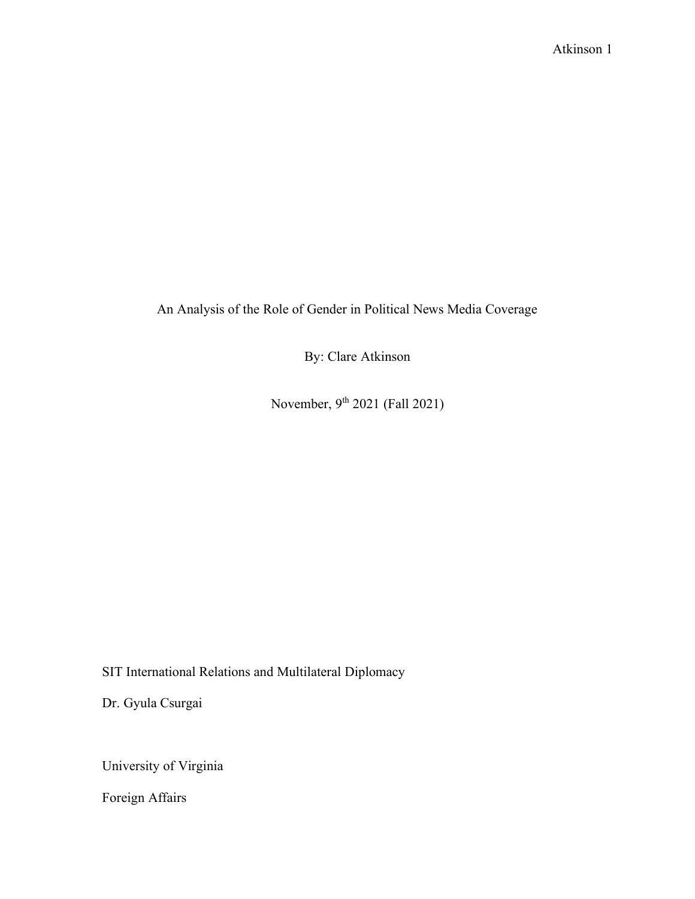An Analysis of the Role of Gender in Political News Media Coverage

By: Clare Atkinson

November, 9th 2021 (Fall 2021)

SIT International Relations and Multilateral Diplomacy

Dr. Gyula Csurgai

University of Virginia

Foreign Affairs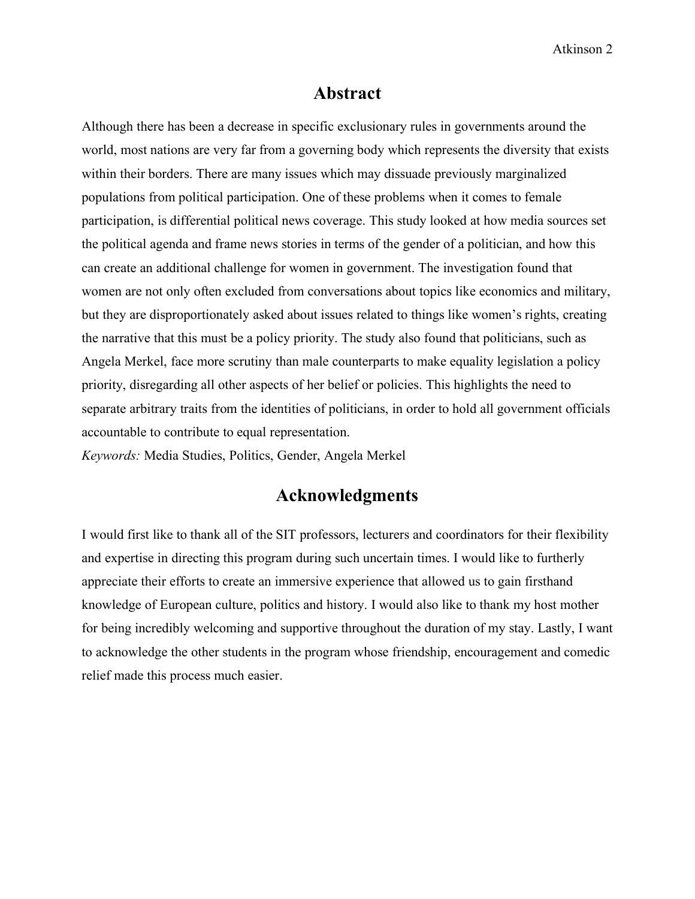## **Abstract**

<span id="page-2-0"></span>Although there has been a decrease in specific exclusionary rules in governments around the world, most nations are very far from a governing body which represents the diversity that exists within their borders. There are many issues which may dissuade previously marginalized populations from political participation. One of these problems when it comes to female participation, is differential political news coverage. This study looked at how media sources set the political agenda and frame news stories in terms of the gender of a politician, and how this can create an additional challenge for women in government. The investigation found that women are not only often excluded from conversations about topics like economics and military, but they are disproportionately asked about issues related to things like women's rights, creating the narrative that this must be a policy priority. The study also found that politicians, such as Angela Merkel, face more scrutiny than male counterparts to make equality legislation a policy priority, disregarding all other aspects of her belief or policies. This highlights the need to separate arbitrary traits from the identities of politicians, in order to hold all government officials accountable to contribute to equal representation.

<span id="page-2-1"></span>*Keywords:* Media Studies, Politics, Gender, Angela Merkel

## **Acknowledgments**

I would first like to thank all of the SIT professors, lecturers and coordinators for their flexibility and expertise in directing this program during such uncertain times. I would like to furtherly appreciate their efforts to create an immersive experience that allowed us to gain firsthand knowledge of European culture, politics and history. I would also like to thank my host mother for being incredibly welcoming and supportive throughout the duration of my stay. Lastly, I want to acknowledge the other students in the program whose friendship, encouragement and comedic relief made this process much easier.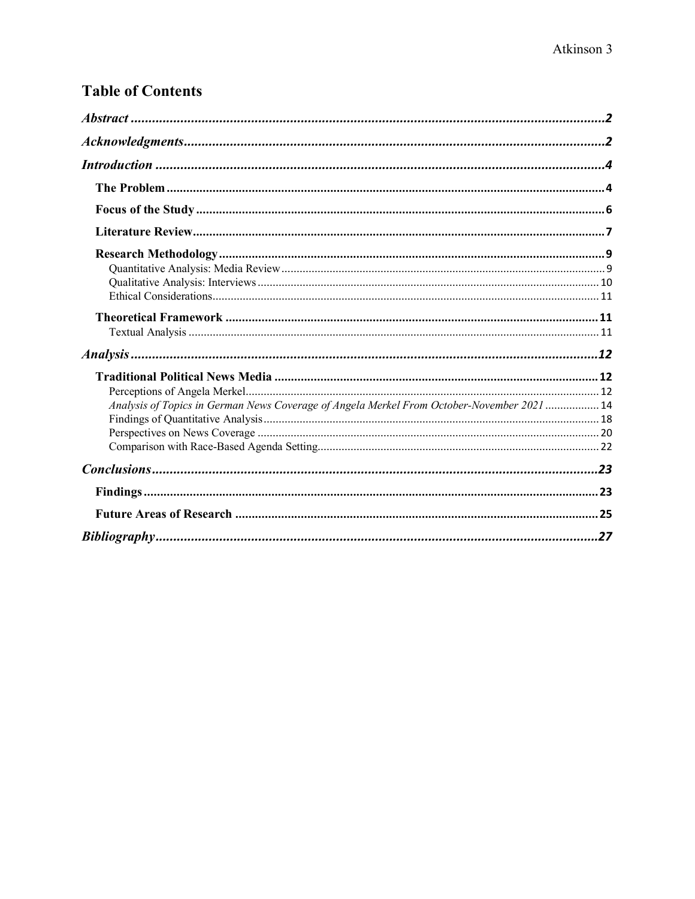## **Table of Contents**

| Analysis of Topics in German News Coverage of Angela Merkel From October-November 2021  14 |  |
|--------------------------------------------------------------------------------------------|--|
|                                                                                            |  |
|                                                                                            |  |
|                                                                                            |  |
|                                                                                            |  |
|                                                                                            |  |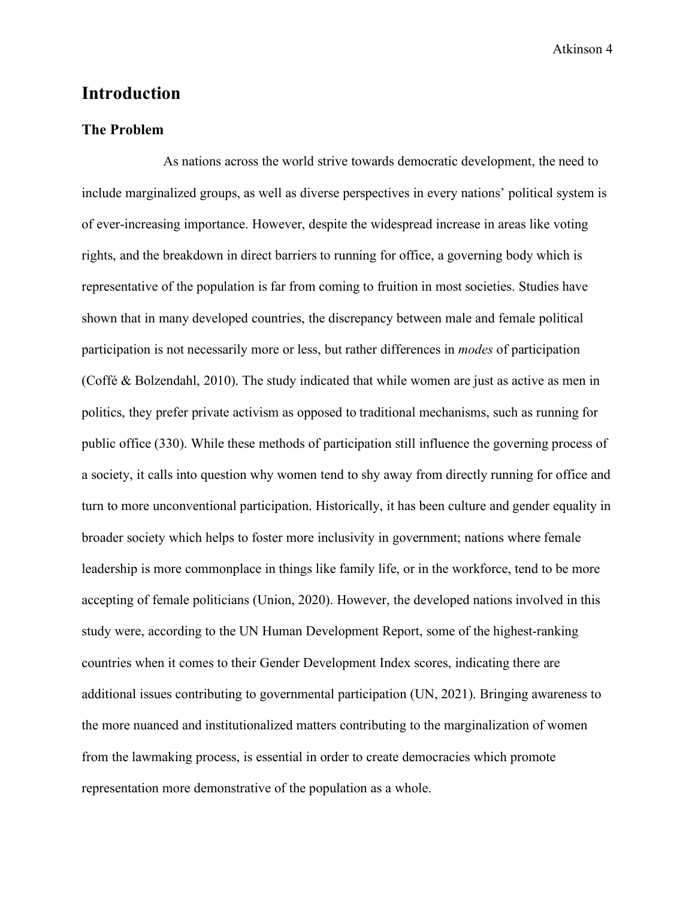## <span id="page-4-0"></span>**Introduction**

#### <span id="page-4-1"></span>**The Problem**

As nations across the world strive towards democratic development, the need to include marginalized groups, as well as diverse perspectives in every nations' political system is of ever-increasing importance. However, despite the widespread increase in areas like voting rights, and the breakdown in direct barriers to running for office, a governing body which is representative of the population is far from coming to fruition in most societies. Studies have shown that in many developed countries, the discrepancy between male and female political participation is not necessarily more or less, but rather differences in *modes* of participation (Coffé & Bolzendahl, 2010). The study indicated that while women are just as active as men in politics, they prefer private activism as opposed to traditional mechanisms, such as running for public office (330). While these methods of participation still influence the governing process of a society, it calls into question why women tend to shy away from directly running for office and turn to more unconventional participation. Historically, it has been culture and gender equality in broader society which helps to foster more inclusivity in government; nations where female leadership is more commonplace in things like family life, or in the workforce, tend to be more accepting of female politicians (Union, 2020). However, the developed nations involved in this study were, according to the UN Human Development Report, some of the highest-ranking countries when it comes to their Gender Development Index scores, indicating there are additional issues contributing to governmental participation (UN, 2021). Bringing awareness to the more nuanced and institutionalized matters contributing to the marginalization of women from the lawmaking process, is essential in order to create democracies which promote representation more demonstrative of the population as a whole.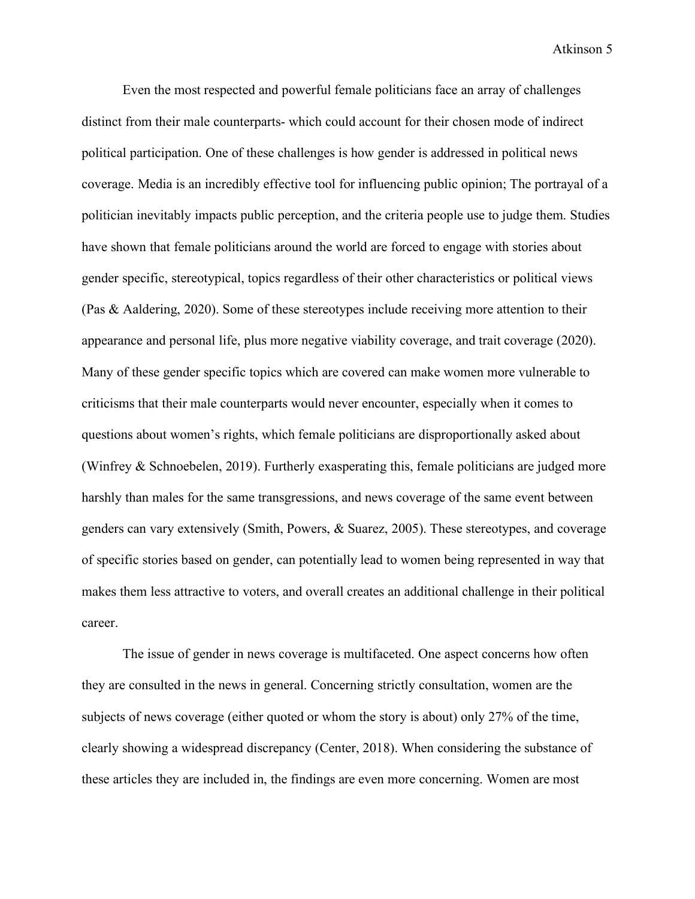Even the most respected and powerful female politicians face an array of challenges distinct from their male counterparts- which could account for their chosen mode of indirect political participation. One of these challenges is how gender is addressed in political news coverage. Media is an incredibly effective tool for influencing public opinion; The portrayal of a politician inevitably impacts public perception, and the criteria people use to judge them. Studies have shown that female politicians around the world are forced to engage with stories about gender specific, stereotypical, topics regardless of their other characteristics or political views (Pas & Aaldering, 2020). Some of these stereotypes include receiving more attention to their appearance and personal life, plus more negative viability coverage, and trait coverage (2020). Many of these gender specific topics which are covered can make women more vulnerable to criticisms that their male counterparts would never encounter, especially when it comes to questions about women's rights, which female politicians are disproportionally asked about (Winfrey & Schnoebelen, 2019). Furtherly exasperating this, female politicians are judged more harshly than males for the same transgressions, and news coverage of the same event between genders can vary extensively (Smith, Powers, & Suarez, 2005). These stereotypes, and coverage of specific stories based on gender, can potentially lead to women being represented in way that makes them less attractive to voters, and overall creates an additional challenge in their political career.

The issue of gender in news coverage is multifaceted. One aspect concerns how often they are consulted in the news in general. Concerning strictly consultation, women are the subjects of news coverage (either quoted or whom the story is about) only 27% of the time, clearly showing a widespread discrepancy (Center, 2018). When considering the substance of these articles they are included in, the findings are even more concerning. Women are most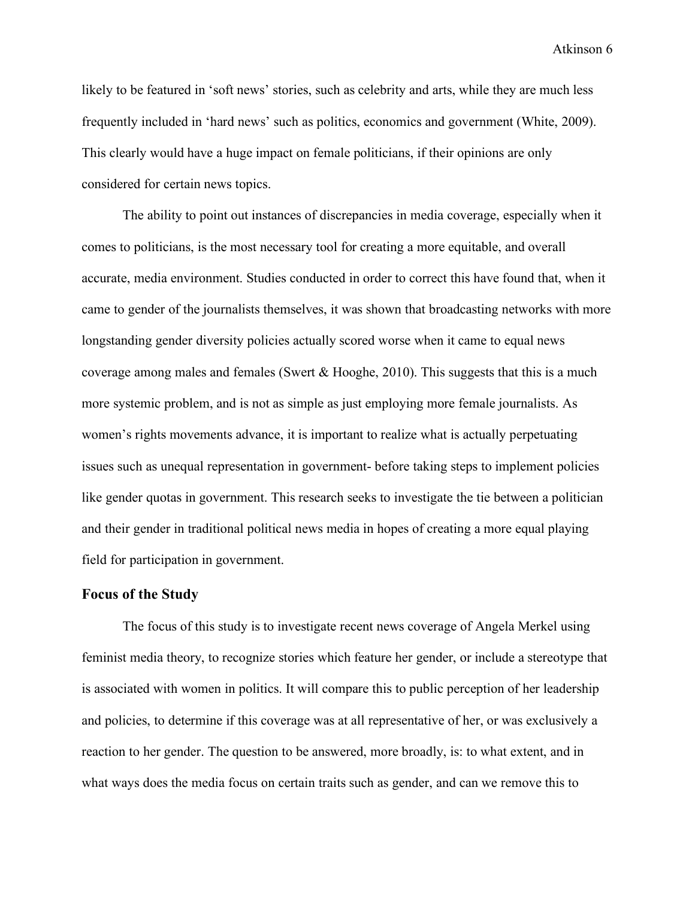likely to be featured in 'soft news' stories, such as celebrity and arts, while they are much less frequently included in 'hard news' such as politics, economics and government (White, 2009). This clearly would have a huge impact on female politicians, if their opinions are only considered for certain news topics.

The ability to point out instances of discrepancies in media coverage, especially when it comes to politicians, is the most necessary tool for creating a more equitable, and overall accurate, media environment. Studies conducted in order to correct this have found that, when it came to gender of the journalists themselves, it was shown that broadcasting networks with more longstanding gender diversity policies actually scored worse when it came to equal news coverage among males and females (Swert & Hooghe, 2010). This suggests that this is a much more systemic problem, and is not as simple as just employing more female journalists. As women's rights movements advance, it is important to realize what is actually perpetuating issues such as unequal representation in government- before taking steps to implement policies like gender quotas in government. This research seeks to investigate the tie between a politician and their gender in traditional political news media in hopes of creating a more equal playing field for participation in government.

#### <span id="page-6-0"></span>**Focus of the Study**

The focus of this study is to investigate recent news coverage of Angela Merkel using feminist media theory, to recognize stories which feature her gender, or include a stereotype that is associated with women in politics. It will compare this to public perception of her leadership and policies, to determine if this coverage was at all representative of her, or was exclusively a reaction to her gender. The question to be answered, more broadly, is: to what extent, and in what ways does the media focus on certain traits such as gender, and can we remove this to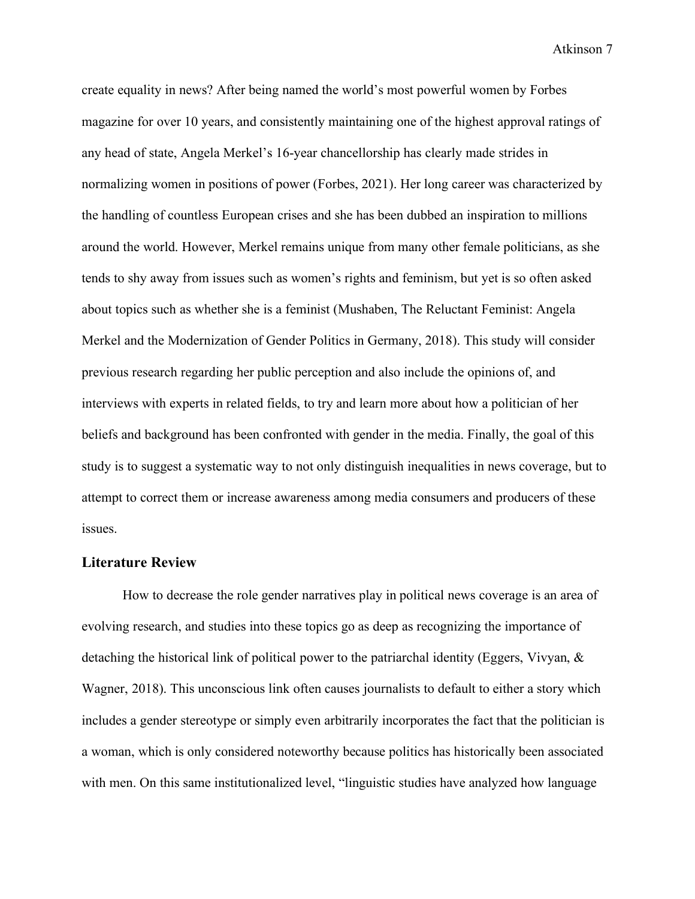create equality in news? After being named the world's most powerful women by Forbes magazine for over 10 years, and consistently maintaining one of the highest approval ratings of any head of state, Angela Merkel's 16-year chancellorship has clearly made strides in normalizing women in positions of power (Forbes, 2021). Her long career was characterized by the handling of countless European crises and she has been dubbed an inspiration to millions around the world. However, Merkel remains unique from many other female politicians, as she tends to shy away from issues such as women's rights and feminism, but yet is so often asked about topics such as whether she is a feminist (Mushaben, The Reluctant Feminist: Angela Merkel and the Modernization of Gender Politics in Germany, 2018). This study will consider previous research regarding her public perception and also include the opinions of, and interviews with experts in related fields, to try and learn more about how a politician of her beliefs and background has been confronted with gender in the media. Finally, the goal of this study is to suggest a systematic way to not only distinguish inequalities in news coverage, but to attempt to correct them or increase awareness among media consumers and producers of these issues.

#### <span id="page-7-0"></span>**Literature Review**

How to decrease the role gender narratives play in political news coverage is an area of evolving research, and studies into these topics go as deep as recognizing the importance of detaching the historical link of political power to the patriarchal identity (Eggers, Vivyan, & Wagner, 2018). This unconscious link often causes journalists to default to either a story which includes a gender stereotype or simply even arbitrarily incorporates the fact that the politician is a woman, which is only considered noteworthy because politics has historically been associated with men. On this same institutionalized level, "linguistic studies have analyzed how language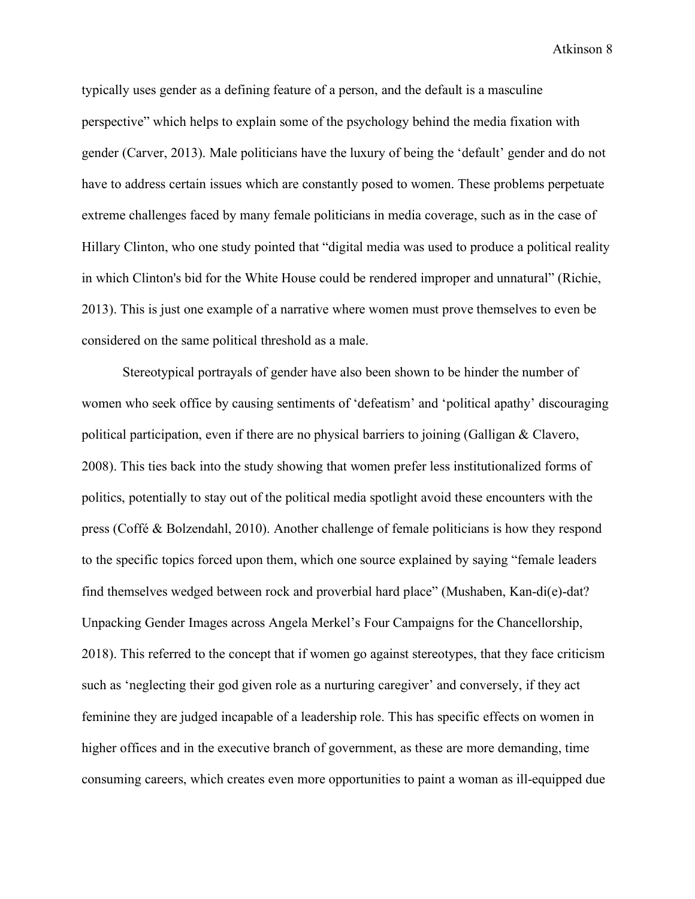typically uses gender as a defining feature of a person, and the default is a masculine perspective" which helps to explain some of the psychology behind the media fixation with gender (Carver, 2013). Male politicians have the luxury of being the 'default' gender and do not have to address certain issues which are constantly posed to women. These problems perpetuate extreme challenges faced by many female politicians in media coverage, such as in the case of Hillary Clinton, who one study pointed that "digital media was used to produce a political reality in which Clinton's bid for the White House could be rendered improper and unnatural" (Richie, 2013). This is just one example of a narrative where women must prove themselves to even be considered on the same political threshold as a male.

Stereotypical portrayals of gender have also been shown to be hinder the number of women who seek office by causing sentiments of 'defeatism' and 'political apathy' discouraging political participation, even if there are no physical barriers to joining (Galligan & Clavero, 2008). This ties back into the study showing that women prefer less institutionalized forms of politics, potentially to stay out of the political media spotlight avoid these encounters with the press (Coffé & Bolzendahl, 2010). Another challenge of female politicians is how they respond to the specific topics forced upon them, which one source explained by saying "female leaders find themselves wedged between rock and proverbial hard place" (Mushaben, Kan-di(e)-dat? Unpacking Gender Images across Angela Merkel's Four Campaigns for the Chancellorship, 2018). This referred to the concept that if women go against stereotypes, that they face criticism such as 'neglecting their god given role as a nurturing caregiver' and conversely, if they act feminine they are judged incapable of a leadership role. This has specific effects on women in higher offices and in the executive branch of government, as these are more demanding, time consuming careers, which creates even more opportunities to paint a woman as ill-equipped due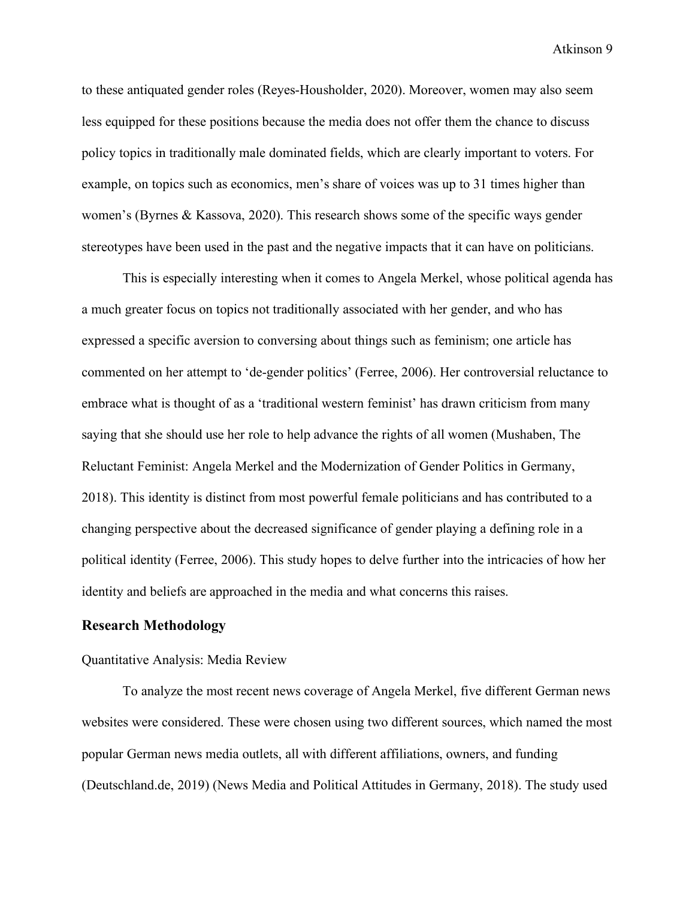to these antiquated gender roles (Reyes-Housholder, 2020). Moreover, women may also seem less equipped for these positions because the media does not offer them the chance to discuss policy topics in traditionally male dominated fields, which are clearly important to voters. For example, on topics such as economics, men's share of voices was up to 31 times higher than women's (Byrnes & Kassova, 2020). This research shows some of the specific ways gender stereotypes have been used in the past and the negative impacts that it can have on politicians.

This is especially interesting when it comes to Angela Merkel, whose political agenda has a much greater focus on topics not traditionally associated with her gender, and who has expressed a specific aversion to conversing about things such as feminism; one article has commented on her attempt to 'de-gender politics' (Ferree, 2006). Her controversial reluctance to embrace what is thought of as a 'traditional western feminist' has drawn criticism from many saying that she should use her role to help advance the rights of all women (Mushaben, The Reluctant Feminist: Angela Merkel and the Modernization of Gender Politics in Germany, 2018). This identity is distinct from most powerful female politicians and has contributed to a changing perspective about the decreased significance of gender playing a defining role in a political identity (Ferree, 2006). This study hopes to delve further into the intricacies of how her identity and beliefs are approached in the media and what concerns this raises.

#### <span id="page-9-0"></span>**Research Methodology**

#### <span id="page-9-1"></span>Quantitative Analysis: Media Review

To analyze the most recent news coverage of Angela Merkel, five different German news websites were considered. These were chosen using two different sources, which named the most popular German news media outlets, all with different affiliations, owners, and funding (Deutschland.de, 2019) (News Media and Political Attitudes in Germany, 2018). The study used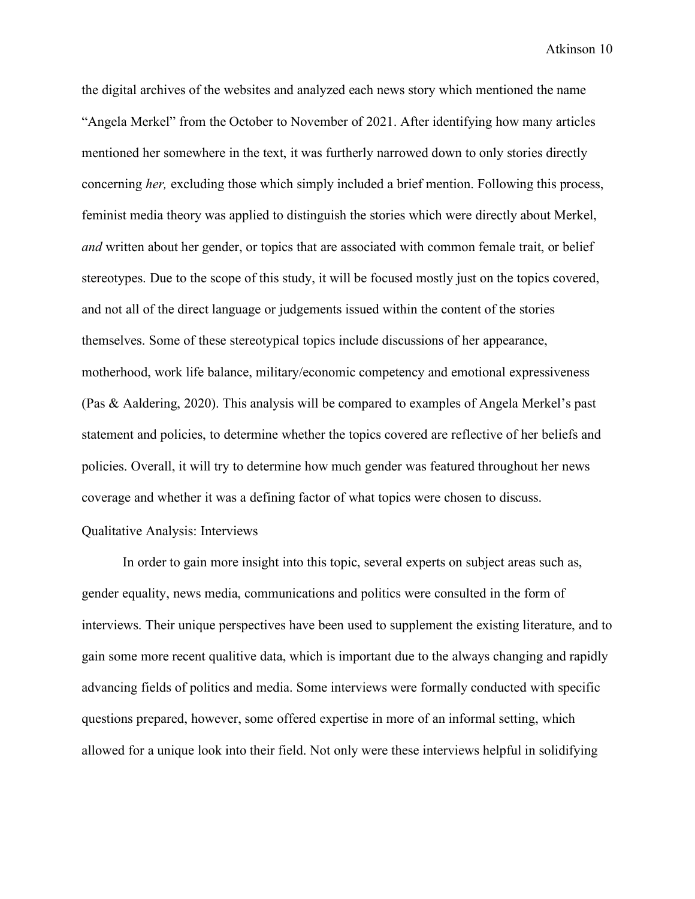the digital archives of the websites and analyzed each news story which mentioned the name "Angela Merkel" from the October to November of 2021. After identifying how many articles mentioned her somewhere in the text, it was furtherly narrowed down to only stories directly concerning *her,* excluding those which simply included a brief mention. Following this process, feminist media theory was applied to distinguish the stories which were directly about Merkel, *and* written about her gender, or topics that are associated with common female trait, or belief stereotypes. Due to the scope of this study, it will be focused mostly just on the topics covered, and not all of the direct language or judgements issued within the content of the stories themselves. Some of these stereotypical topics include discussions of her appearance, motherhood, work life balance, military/economic competency and emotional expressiveness (Pas & Aaldering, 2020). This analysis will be compared to examples of Angela Merkel's past statement and policies, to determine whether the topics covered are reflective of her beliefs and policies. Overall, it will try to determine how much gender was featured throughout her news coverage and whether it was a defining factor of what topics were chosen to discuss.

#### <span id="page-10-0"></span>Qualitative Analysis: Interviews

In order to gain more insight into this topic, several experts on subject areas such as, gender equality, news media, communications and politics were consulted in the form of interviews. Their unique perspectives have been used to supplement the existing literature, and to gain some more recent qualitive data, which is important due to the always changing and rapidly advancing fields of politics and media. Some interviews were formally conducted with specific questions prepared, however, some offered expertise in more of an informal setting, which allowed for a unique look into their field. Not only were these interviews helpful in solidifying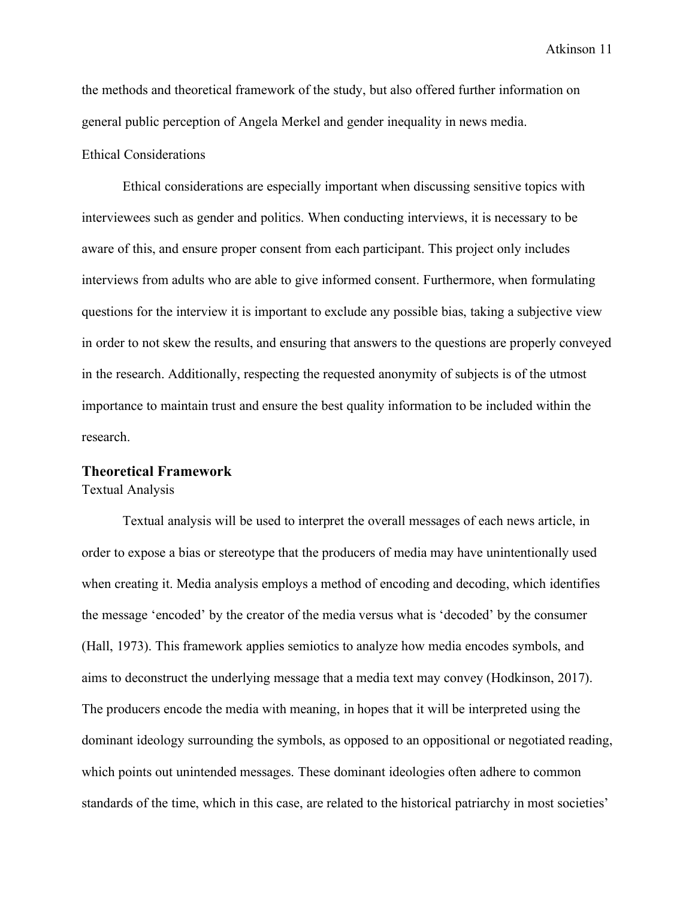the methods and theoretical framework of the study, but also offered further information on general public perception of Angela Merkel and gender inequality in news media.

#### <span id="page-11-0"></span>Ethical Considerations

Ethical considerations are especially important when discussing sensitive topics with interviewees such as gender and politics. When conducting interviews, it is necessary to be aware of this, and ensure proper consent from each participant. This project only includes interviews from adults who are able to give informed consent. Furthermore, when formulating questions for the interview it is important to exclude any possible bias, taking a subjective view in order to not skew the results, and ensuring that answers to the questions are properly conveyed in the research. Additionally, respecting the requested anonymity of subjects is of the utmost importance to maintain trust and ensure the best quality information to be included within the research.

## <span id="page-11-1"></span>**Theoretical Framework**

<span id="page-11-2"></span>Textual Analysis

Textual analysis will be used to interpret the overall messages of each news article, in order to expose a bias or stereotype that the producers of media may have unintentionally used when creating it. Media analysis employs a method of encoding and decoding, which identifies the message 'encoded' by the creator of the media versus what is 'decoded' by the consumer (Hall, 1973). This framework applies semiotics to analyze how media encodes symbols, and aims to deconstruct the underlying message that a media text may convey (Hodkinson, 2017). The producers encode the media with meaning, in hopes that it will be interpreted using the dominant ideology surrounding the symbols, as opposed to an oppositional or negotiated reading, which points out unintended messages. These dominant ideologies often adhere to common standards of the time, which in this case, are related to the historical patriarchy in most societies'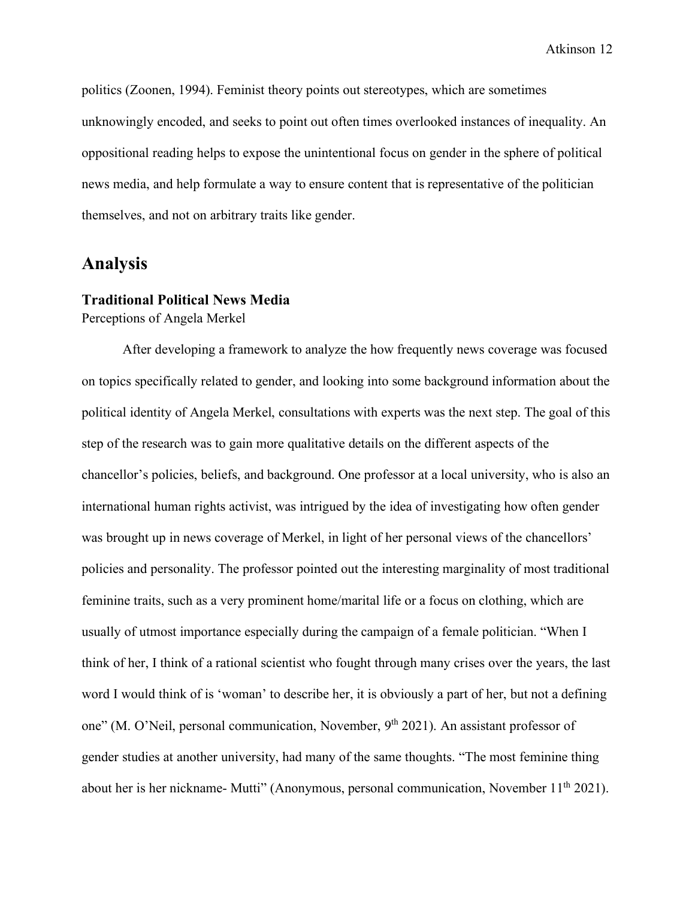politics (Zoonen, 1994). Feminist theory points out stereotypes, which are sometimes unknowingly encoded, and seeks to point out often times overlooked instances of inequality. An oppositional reading helps to expose the unintentional focus on gender in the sphere of political news media, and help formulate a way to ensure content that is representative of the politician themselves, and not on arbitrary traits like gender.

## <span id="page-12-0"></span>**Analysis**

## <span id="page-12-1"></span>**Traditional Political News Media**

<span id="page-12-2"></span>Perceptions of Angela Merkel

After developing a framework to analyze the how frequently news coverage was focused on topics specifically related to gender, and looking into some background information about the political identity of Angela Merkel, consultations with experts was the next step. The goal of this step of the research was to gain more qualitative details on the different aspects of the chancellor's policies, beliefs, and background. One professor at a local university, who is also an international human rights activist, was intrigued by the idea of investigating how often gender was brought up in news coverage of Merkel, in light of her personal views of the chancellors' policies and personality. The professor pointed out the interesting marginality of most traditional feminine traits, such as a very prominent home/marital life or a focus on clothing, which are usually of utmost importance especially during the campaign of a female politician. "When I think of her, I think of a rational scientist who fought through many crises over the years, the last word I would think of is 'woman' to describe her, it is obviously a part of her, but not a defining one" (M. O'Neil, personal communication, November, 9<sup>th</sup> 2021). An assistant professor of gender studies at another university, had many of the same thoughts. "The most feminine thing about her is her nickname- Mutti" (Anonymous, personal communication, November 11<sup>th</sup> 2021).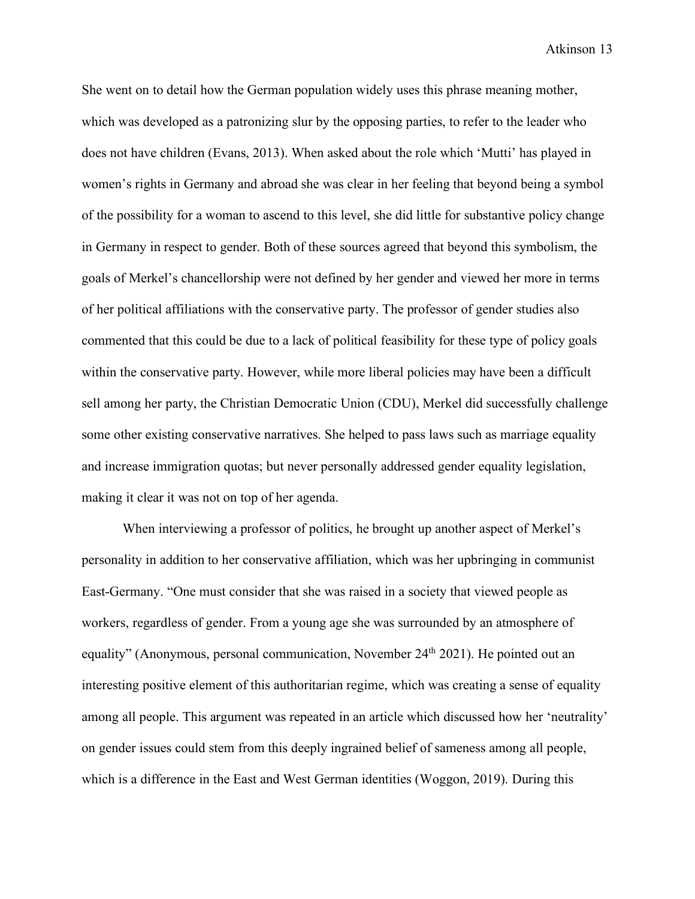She went on to detail how the German population widely uses this phrase meaning mother, which was developed as a patronizing slur by the opposing parties, to refer to the leader who does not have children (Evans, 2013). When asked about the role which 'Mutti' has played in women's rights in Germany and abroad she was clear in her feeling that beyond being a symbol of the possibility for a woman to ascend to this level, she did little for substantive policy change in Germany in respect to gender. Both of these sources agreed that beyond this symbolism, the goals of Merkel's chancellorship were not defined by her gender and viewed her more in terms of her political affiliations with the conservative party. The professor of gender studies also commented that this could be due to a lack of political feasibility for these type of policy goals within the conservative party. However, while more liberal policies may have been a difficult sell among her party, the Christian Democratic Union (CDU), Merkel did successfully challenge some other existing conservative narratives. She helped to pass laws such as marriage equality and increase immigration quotas; but never personally addressed gender equality legislation, making it clear it was not on top of her agenda.

When interviewing a professor of politics, he brought up another aspect of Merkel's personality in addition to her conservative affiliation, which was her upbringing in communist East-Germany. "One must consider that she was raised in a society that viewed people as workers, regardless of gender. From a young age she was surrounded by an atmosphere of equality" (Anonymous, personal communication, November 24<sup>th</sup> 2021). He pointed out an interesting positive element of this authoritarian regime, which was creating a sense of equality among all people. This argument was repeated in an article which discussed how her 'neutrality' on gender issues could stem from this deeply ingrained belief of sameness among all people, which is a difference in the East and West German identities (Woggon, 2019). During this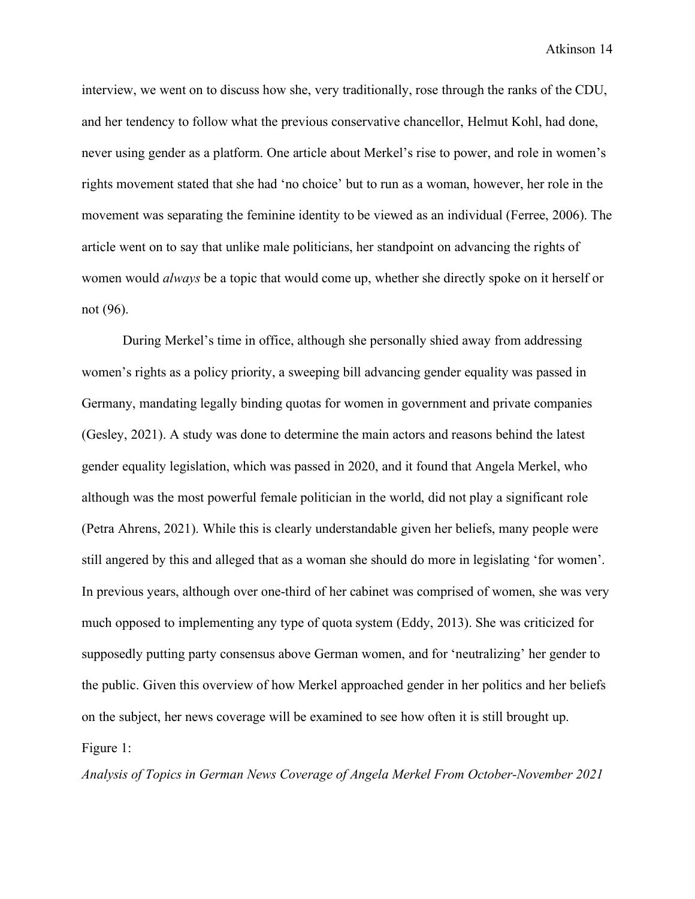interview, we went on to discuss how she, very traditionally, rose through the ranks of the CDU, and her tendency to follow what the previous conservative chancellor, Helmut Kohl, had done, never using gender as a platform. One article about Merkel's rise to power, and role in women's rights movement stated that she had 'no choice' but to run as a woman, however, her role in the movement was separating the feminine identity to be viewed as an individual (Ferree, 2006). The article went on to say that unlike male politicians, her standpoint on advancing the rights of women would *always* be a topic that would come up, whether she directly spoke on it herself or not (96).

During Merkel's time in office, although she personally shied away from addressing women's rights as a policy priority, a sweeping bill advancing gender equality was passed in Germany, mandating legally binding quotas for women in government and private companies (Gesley, 2021). A study was done to determine the main actors and reasons behind the latest gender equality legislation, which was passed in 2020, and it found that Angela Merkel, who although was the most powerful female politician in the world, did not play a significant role (Petra Ahrens, 2021). While this is clearly understandable given her beliefs, many people were still angered by this and alleged that as a woman she should do more in legislating 'for women'. In previous years, although over one-third of her cabinet was comprised of women, she was very much opposed to implementing any type of quota system (Eddy, 2013). She was criticized for supposedly putting party consensus above German women, and for 'neutralizing' her gender to the public. Given this overview of how Merkel approached gender in her politics and her beliefs on the subject, her news coverage will be examined to see how often it is still brought up. Figure 1:

<span id="page-14-0"></span>*Analysis of Topics in German News Coverage of Angela Merkel From October-November 2021*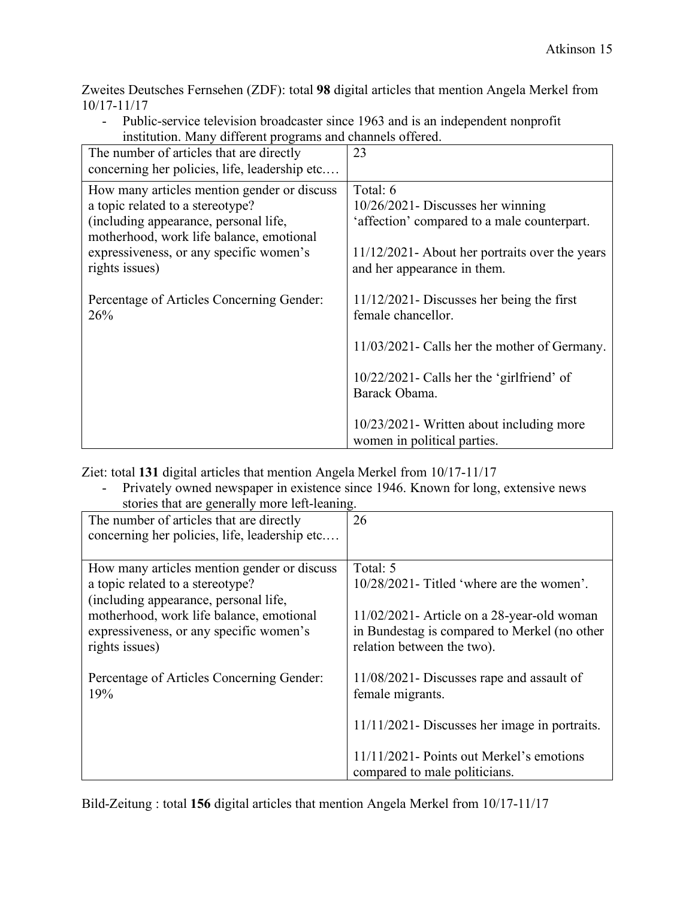Zweites Deutsches Fernsehen (ZDF): total **98** digital articles that mention Angela Merkel from 10/17-11/17

| - Public-service television broadcaster since 1963 and is an independent nonprofit |
|------------------------------------------------------------------------------------|
| institution. Many different programs and channels offered.                         |

| The number of articles that are directly<br>concerning her policies, life, leadership etc                                                                                                                                         | 23                                                                                                                                                                                |
|-----------------------------------------------------------------------------------------------------------------------------------------------------------------------------------------------------------------------------------|-----------------------------------------------------------------------------------------------------------------------------------------------------------------------------------|
| How many articles mention gender or discuss<br>a topic related to a stereotype?<br>(including appearance, personal life,<br>motherhood, work life balance, emotional<br>expressiveness, or any specific women's<br>rights issues) | Total: 6<br>$10/26/2021$ - Discusses her winning<br>'affection' compared to a male counterpart.<br>11/12/2021 - About her portraits over the years<br>and her appearance in them. |
| Percentage of Articles Concerning Gender:<br>26%                                                                                                                                                                                  | $11/12/2021$ -Discusses her being the first<br>female chancellor.                                                                                                                 |
|                                                                                                                                                                                                                                   | 11/03/2021 - Calls her the mother of Germany.                                                                                                                                     |
|                                                                                                                                                                                                                                   | 10/22/2021- Calls her the 'girlfriend' of<br>Barack Obama.                                                                                                                        |
|                                                                                                                                                                                                                                   | 10/23/2021 Written about including more<br>women in political parties.                                                                                                            |

Ziet: total **131** digital articles that mention Angela Merkel from 10/17-11/17

- Privately owned newspaper in existence since 1946. Known for long, extensive news stories that are generally more left-leaning.

| The number of articles that are directly<br>concerning her policies, life, leadership etc | 26                                               |
|-------------------------------------------------------------------------------------------|--------------------------------------------------|
| How many articles mention gender or discuss                                               | Total: 5                                         |
| a topic related to a stereotype?                                                          | 10/28/2021- Titled 'where are the women'.        |
| (including appearance, personal life,                                                     |                                                  |
| motherhood, work life balance, emotional                                                  | $11/02/2021$ - Article on a 28-year-old woman    |
| expressiveness, or any specific women's                                                   | in Bundestag is compared to Merkel (no other     |
| rights issues)                                                                            | relation between the two).                       |
|                                                                                           |                                                  |
| Percentage of Articles Concerning Gender:                                                 | 11/08/2021 - Discusses rape and assault of       |
| 19%                                                                                       | female migrants.                                 |
|                                                                                           | $11/11/2021$ - Discusses her image in portraits. |
|                                                                                           | 11/11/2021- Points out Merkel's emotions         |
|                                                                                           | compared to male politicians.                    |

Bild-Zeitung : total **156** digital articles that mention Angela Merkel from 10/17-11/17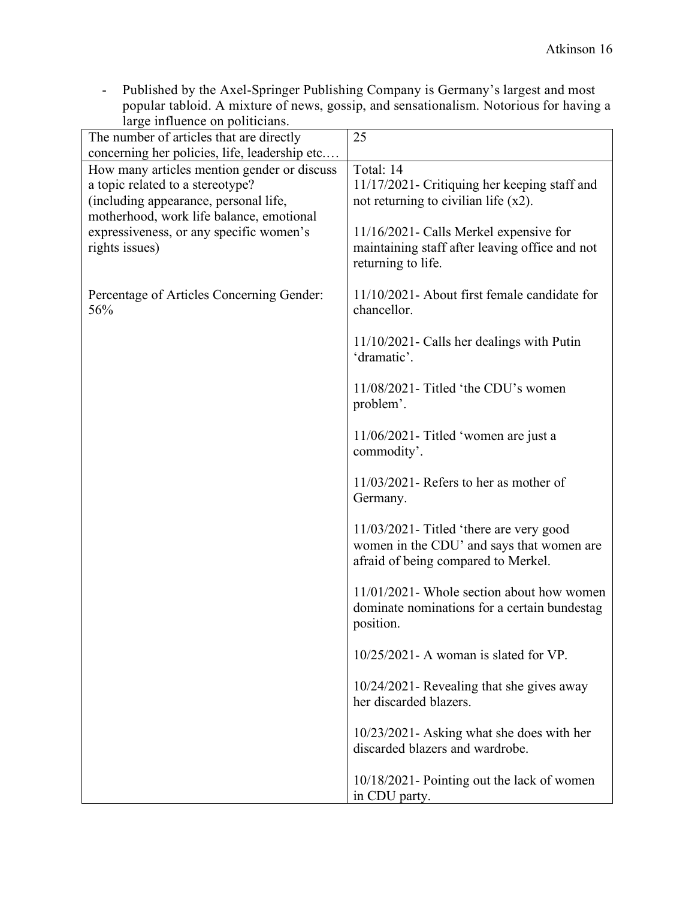- Published by the Axel-Springer Publishing Company is Germany's largest and most popular tabloid. A mixture of news, gossip, and sensationalism. Notorious for having a large influence on politicians.

| rarge influence on pontrulans.<br>The number of articles that are directly | 25                                                                               |
|----------------------------------------------------------------------------|----------------------------------------------------------------------------------|
| concerning her policies, life, leadership etc                              |                                                                                  |
| How many articles mention gender or discuss                                | Total: 14                                                                        |
| a topic related to a stereotype?                                           | 11/17/2021 - Critiquing her keeping staff and                                    |
| (including appearance, personal life,                                      | not returning to civilian life $(x2)$ .                                          |
| motherhood, work life balance, emotional                                   |                                                                                  |
| expressiveness, or any specific women's                                    | 11/16/2021 - Calls Merkel expensive for                                          |
| rights issues)                                                             | maintaining staff after leaving office and not                                   |
|                                                                            | returning to life.                                                               |
| Percentage of Articles Concerning Gender:<br>56%                           | 11/10/2021- About first female candidate for<br>chancellor.                      |
|                                                                            |                                                                                  |
|                                                                            | $11/10/2021$ - Calls her dealings with Putin<br>'dramatic'.                      |
|                                                                            | $11/08/2021$ - Titled 'the CDU's women                                           |
|                                                                            | problem'.                                                                        |
|                                                                            | $11/06/2021$ - Titled 'women are just a                                          |
|                                                                            | commodity'.                                                                      |
|                                                                            | $11/03/2021$ - Refers to her as mother of<br>Germany.                            |
|                                                                            | 11/03/2021- Titled 'there are very good                                          |
|                                                                            | women in the CDU' and says that women are<br>afraid of being compared to Merkel. |
|                                                                            | 11/01/2021- Whole section about how women                                        |
|                                                                            | dominate nominations for a certain bundestag<br>position.                        |
|                                                                            | 10/25/2021- A woman is slated for VP.                                            |
|                                                                            | 10/24/2021 - Revealing that she gives away                                       |
|                                                                            | her discarded blazers.                                                           |
|                                                                            | 10/23/2021 - Asking what she does with her                                       |
|                                                                            | discarded blazers and wardrobe.                                                  |
|                                                                            | 10/18/2021 - Pointing out the lack of women                                      |
|                                                                            | in CDU party.                                                                    |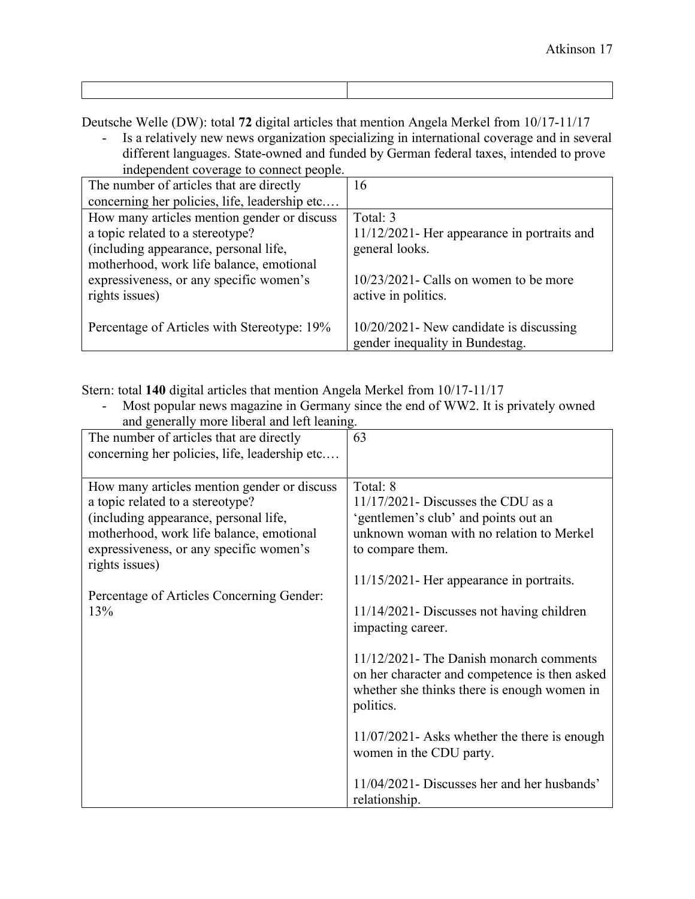- Deutsche Welle (DW): total **72** digital articles that mention Angela Merkel from 10/17-11/17 - Is a relatively new news organization specializing in international coverage and in several
	- different languages. State-owned and funded by German federal taxes, intended to prove independent coverage to connect people.

| 16                                             |
|------------------------------------------------|
|                                                |
| Total: 3                                       |
| $11/12/2021$ - Her appearance in portraits and |
| general looks.                                 |
|                                                |
| $10/23/2021$ - Calls on women to be more       |
| active in politics.                            |
|                                                |
| $10/20/2021$ - New candidate is discussing     |
| gender inequality in Bundestag.                |
|                                                |

Stern: total **140** digital articles that mention Angela Merkel from 10/17-11/17

|                                               | Most popular news magazine in Germany since the end of WW2. It is privately owned |  |
|-----------------------------------------------|-----------------------------------------------------------------------------------|--|
| and generally more liberal and left leaning.  |                                                                                   |  |
| The number of articles that are directly      | 63                                                                                |  |
| concerning her policies, life, leadership etc |                                                                                   |  |
|                                               |                                                                                   |  |
| How many articles mention gender or discuss   | Total: 8                                                                          |  |
| a topic related to a stereotype?              | $11/17/2021$ - Discusses the CDU as a                                             |  |
| (including appearance, personal life,         | 'gentlemen's club' and points out an                                              |  |
| motherhood, work life balance, emotional      | unknown woman with no relation to Merkel                                          |  |
| expressiveness, or any specific women's       | to compare them.                                                                  |  |
| rights issues)                                |                                                                                   |  |
|                                               | 11/15/2021 - Her appearance in portraits.                                         |  |
| Percentage of Articles Concerning Gender:     |                                                                                   |  |
| 13%                                           | 11/14/2021 - Discusses not having children                                        |  |
|                                               | impacting career.                                                                 |  |
|                                               |                                                                                   |  |
|                                               | 11/12/2021- The Danish monarch comments                                           |  |
|                                               | on her character and competence is then asked                                     |  |
|                                               | whether she thinks there is enough women in                                       |  |
|                                               | politics.                                                                         |  |
|                                               |                                                                                   |  |
|                                               | $11/07/2021$ - Asks whether the there is enough                                   |  |
|                                               | women in the CDU party.                                                           |  |
|                                               |                                                                                   |  |
|                                               | 11/04/2021 - Discusses her and her husbands'                                      |  |
|                                               | relationship.                                                                     |  |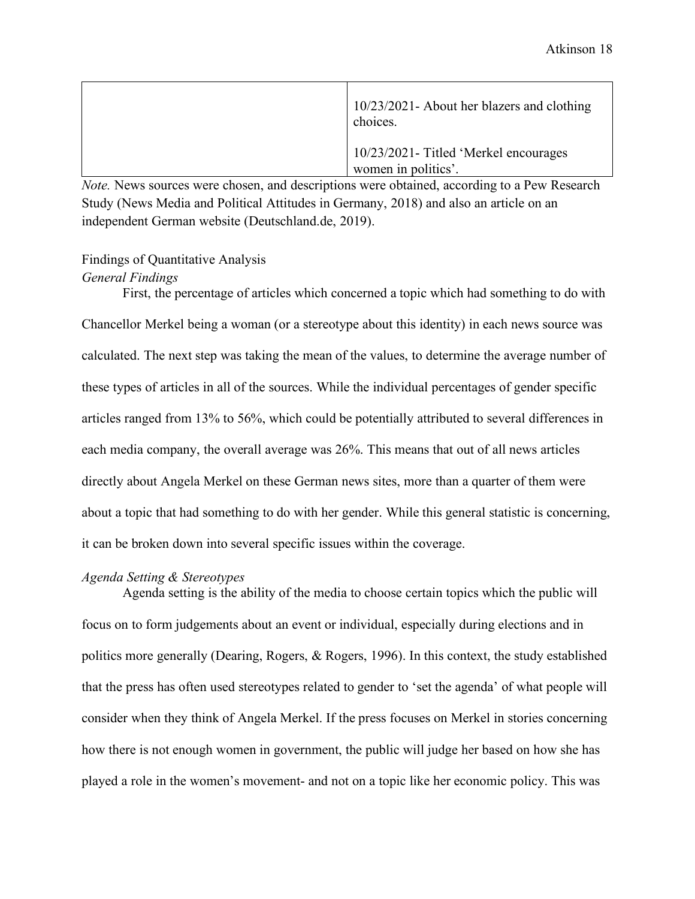| 10/23/2021- About her blazers and clothing<br>choices.       |
|--------------------------------------------------------------|
| 10/23/2021- Titled 'Merkel encourages<br>women in politics'. |

*Note.* News sources were chosen, and descriptions were obtained, according to a Pew Research Study (News Media and Political Attitudes in Germany, 2018) and also an article on an independent German website (Deutschland.de, 2019).

## <span id="page-18-0"></span>Findings of Quantitative Analysis

#### *General Findings*

First, the percentage of articles which concerned a topic which had something to do with Chancellor Merkel being a woman (or a stereotype about this identity) in each news source was calculated. The next step was taking the mean of the values, to determine the average number of these types of articles in all of the sources. While the individual percentages of gender specific articles ranged from 13% to 56%, which could be potentially attributed to several differences in each media company, the overall average was 26%. This means that out of all news articles directly about Angela Merkel on these German news sites, more than a quarter of them were about a topic that had something to do with her gender. While this general statistic is concerning, it can be broken down into several specific issues within the coverage.

#### *Agenda Setting & Stereotypes*

Agenda setting is the ability of the media to choose certain topics which the public will focus on to form judgements about an event or individual, especially during elections and in politics more generally (Dearing, Rogers, & Rogers, 1996). In this context, the study established that the press has often used stereotypes related to gender to 'set the agenda' of what people will consider when they think of Angela Merkel. If the press focuses on Merkel in stories concerning how there is not enough women in government, the public will judge her based on how she has played a role in the women's movement- and not on a topic like her economic policy. This was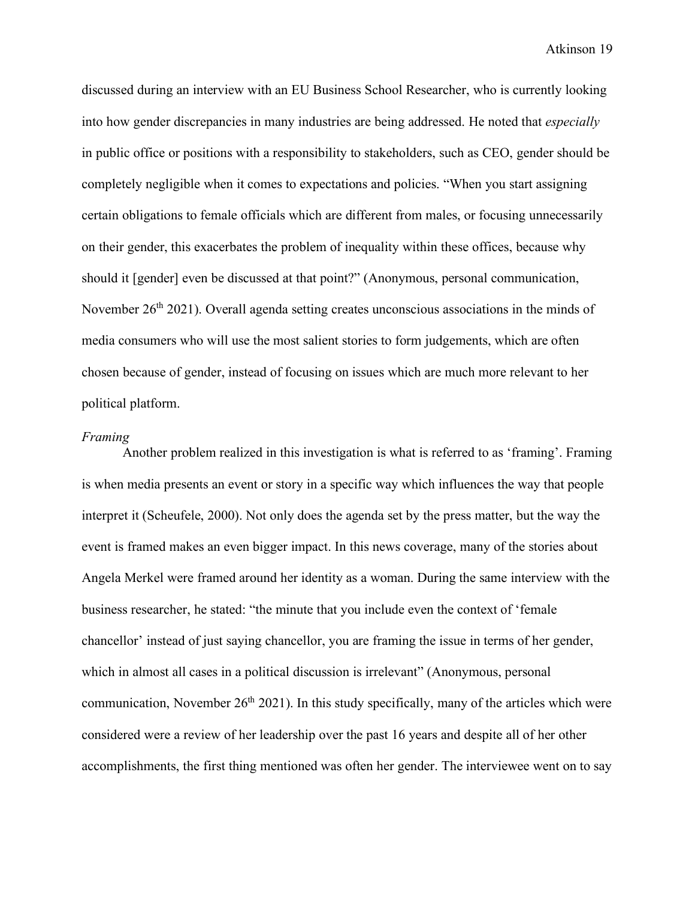discussed during an interview with an EU Business School Researcher, who is currently looking into how gender discrepancies in many industries are being addressed. He noted that *especially*  in public office or positions with a responsibility to stakeholders, such as CEO, gender should be completely negligible when it comes to expectations and policies. "When you start assigning certain obligations to female officials which are different from males, or focusing unnecessarily on their gender, this exacerbates the problem of inequality within these offices, because why should it [gender] even be discussed at that point?" (Anonymous, personal communication, November 26<sup>th</sup> 2021). Overall agenda setting creates unconscious associations in the minds of media consumers who will use the most salient stories to form judgements, which are often chosen because of gender, instead of focusing on issues which are much more relevant to her political platform.

#### *Framing*

Another problem realized in this investigation is what is referred to as 'framing'. Framing is when media presents an event or story in a specific way which influences the way that people interpret it (Scheufele, 2000). Not only does the agenda set by the press matter, but the way the event is framed makes an even bigger impact. In this news coverage, many of the stories about Angela Merkel were framed around her identity as a woman. During the same interview with the business researcher, he stated: "the minute that you include even the context of 'female chancellor' instead of just saying chancellor, you are framing the issue in terms of her gender, which in almost all cases in a political discussion is irrelevant" (Anonymous, personal communication, November  $26<sup>th</sup> 2021$ ). In this study specifically, many of the articles which were considered were a review of her leadership over the past 16 years and despite all of her other accomplishments, the first thing mentioned was often her gender. The interviewee went on to say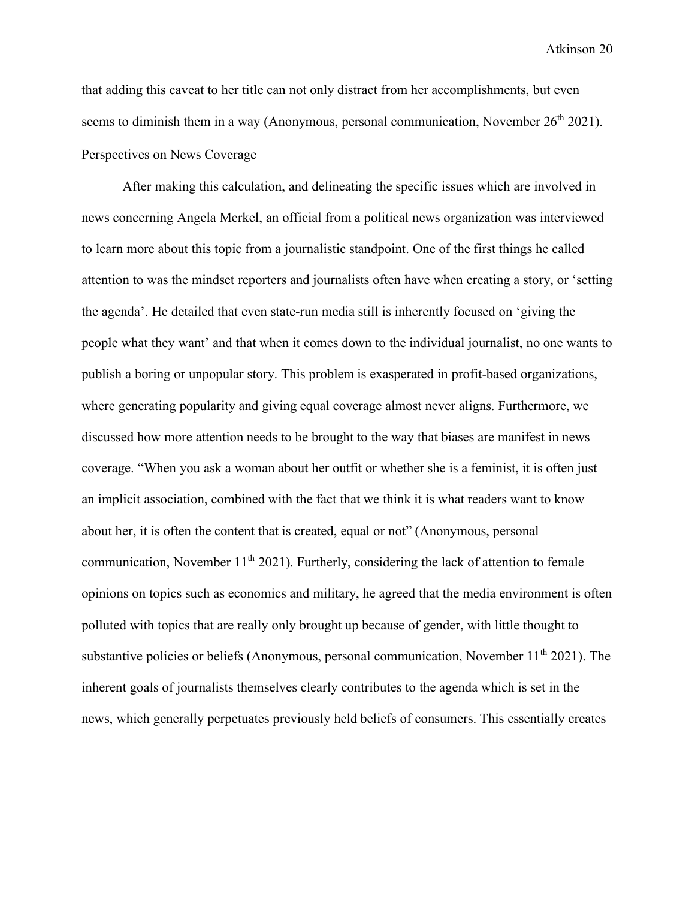that adding this caveat to her title can not only distract from her accomplishments, but even seems to diminish them in a way (Anonymous, personal communication, November  $26<sup>th</sup> 2021$ ). Perspectives on News Coverage

<span id="page-20-0"></span>After making this calculation, and delineating the specific issues which are involved in news concerning Angela Merkel, an official from a political news organization was interviewed to learn more about this topic from a journalistic standpoint. One of the first things he called attention to was the mindset reporters and journalists often have when creating a story, or 'setting the agenda'. He detailed that even state-run media still is inherently focused on 'giving the people what they want' and that when it comes down to the individual journalist, no one wants to publish a boring or unpopular story. This problem is exasperated in profit-based organizations, where generating popularity and giving equal coverage almost never aligns. Furthermore, we discussed how more attention needs to be brought to the way that biases are manifest in news coverage. "When you ask a woman about her outfit or whether she is a feminist, it is often just an implicit association, combined with the fact that we think it is what readers want to know about her, it is often the content that is created, equal or not" (Anonymous, personal communication, November  $11<sup>th</sup> 2021$ ). Furtherly, considering the lack of attention to female opinions on topics such as economics and military, he agreed that the media environment is often polluted with topics that are really only brought up because of gender, with little thought to substantive policies or beliefs (Anonymous, personal communication, November 11<sup>th</sup> 2021). The inherent goals of journalists themselves clearly contributes to the agenda which is set in the news, which generally perpetuates previously held beliefs of consumers. This essentially creates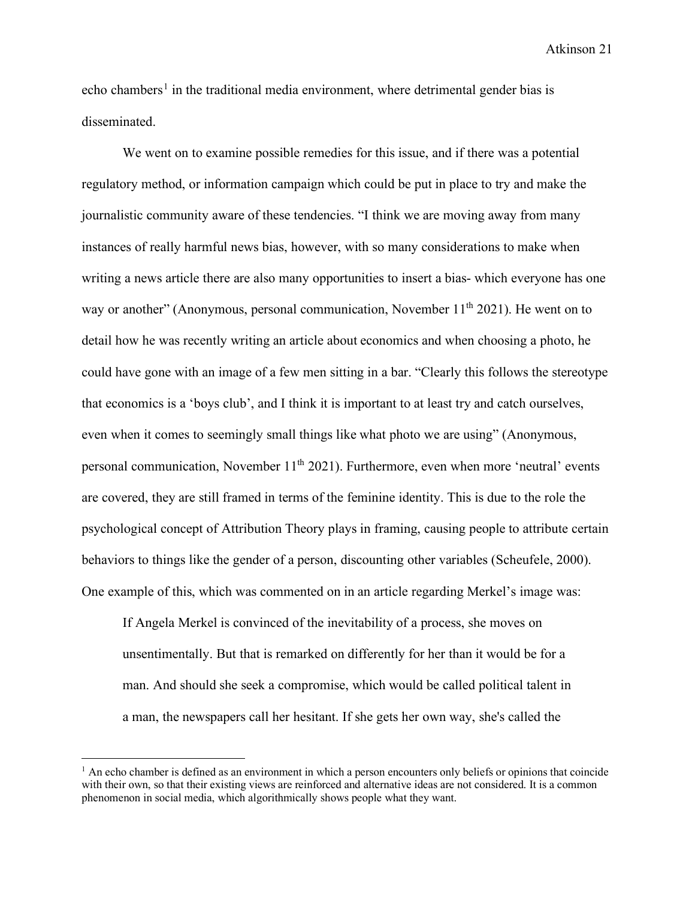echo chambers<sup>[1](#page-21-0)</sup> in the traditional media environment, where detrimental gender bias is disseminated.

We went on to examine possible remedies for this issue, and if there was a potential regulatory method, or information campaign which could be put in place to try and make the journalistic community aware of these tendencies. "I think we are moving away from many instances of really harmful news bias, however, with so many considerations to make when writing a news article there are also many opportunities to insert a bias- which everyone has one way or another" (Anonymous, personal communication, November  $11<sup>th</sup> 2021$ ). He went on to detail how he was recently writing an article about economics and when choosing a photo, he could have gone with an image of a few men sitting in a bar. "Clearly this follows the stereotype that economics is a 'boys club', and I think it is important to at least try and catch ourselves, even when it comes to seemingly small things like what photo we are using" (Anonymous, personal communication, November  $11<sup>th</sup> 2021$ ). Furthermore, even when more 'neutral' events are covered, they are still framed in terms of the feminine identity. This is due to the role the psychological concept of Attribution Theory plays in framing, causing people to attribute certain behaviors to things like the gender of a person, discounting other variables (Scheufele, 2000). One example of this, which was commented on in an article regarding Merkel's image was:

If Angela Merkel is convinced of the inevitability of a process, she moves on unsentimentally. But that is remarked on differently for her than it would be for a man. And should she seek a compromise, which would be called political talent in a man, the newspapers call her hesitant. If she gets her own way, she's called the

<span id="page-21-0"></span> $<sup>1</sup>$  An echo chamber is defined as an environment in which a person encounters only beliefs or opinions that coincide</sup> with their own, so that their existing views are reinforced and alternative ideas are not considered. It is a common phenomenon in social media, which algorithmically shows people what they want.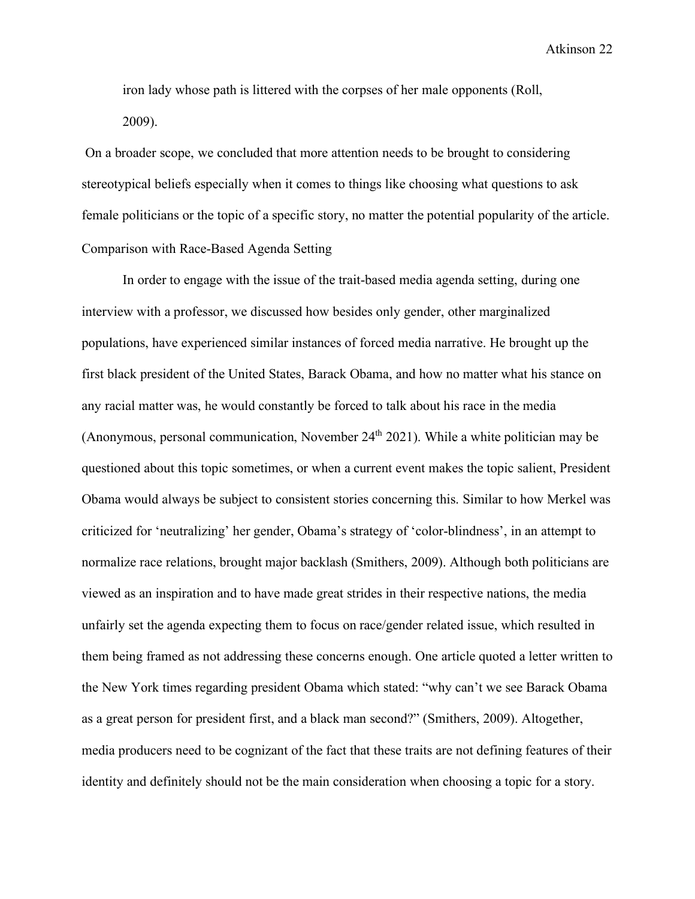iron lady whose path is littered with the corpses of her male opponents (Roll, 2009).

On a broader scope, we concluded that more attention needs to be brought to considering stereotypical beliefs especially when it comes to things like choosing what questions to ask female politicians or the topic of a specific story, no matter the potential popularity of the article. Comparison with Race-Based Agenda Setting

<span id="page-22-0"></span>In order to engage with the issue of the trait-based media agenda setting, during one interview with a professor, we discussed how besides only gender, other marginalized populations, have experienced similar instances of forced media narrative. He brought up the first black president of the United States, Barack Obama, and how no matter what his stance on any racial matter was, he would constantly be forced to talk about his race in the media (Anonymous, personal communication, November  $24<sup>th</sup> 2021$ ). While a white politician may be questioned about this topic sometimes, or when a current event makes the topic salient, President Obama would always be subject to consistent stories concerning this. Similar to how Merkel was criticized for 'neutralizing' her gender, Obama's strategy of 'color-blindness', in an attempt to normalize race relations, brought major backlash (Smithers, 2009). Although both politicians are viewed as an inspiration and to have made great strides in their respective nations, the media unfairly set the agenda expecting them to focus on race/gender related issue, which resulted in them being framed as not addressing these concerns enough. One article quoted a letter written to the New York times regarding president Obama which stated: "why can't we see Barack Obama as a great person for president first, and a black man second?" (Smithers, 2009). Altogether, media producers need to be cognizant of the fact that these traits are not defining features of their identity and definitely should not be the main consideration when choosing a topic for a story.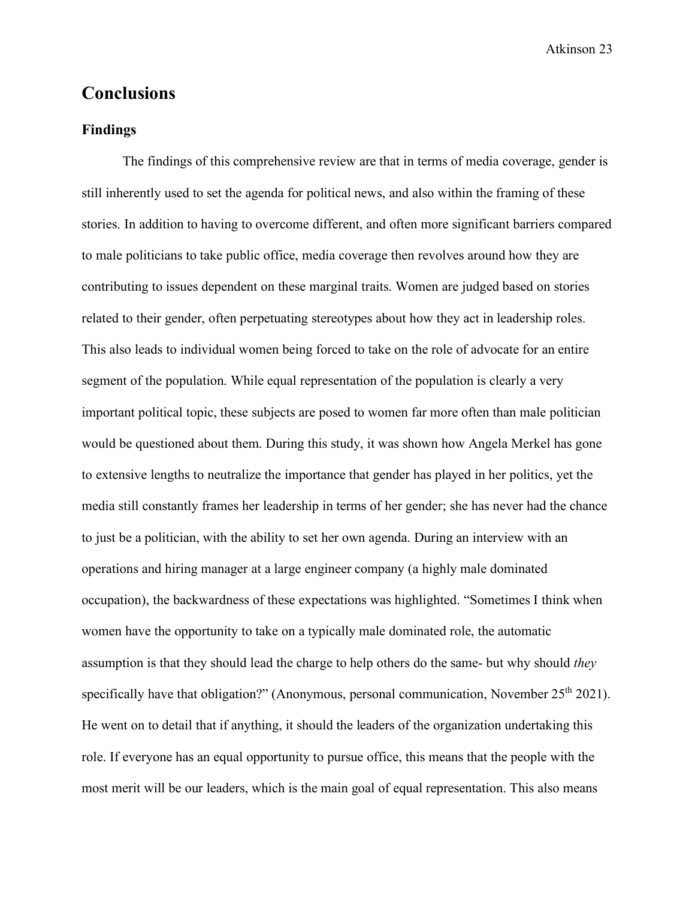## <span id="page-23-0"></span>**Conclusions**

#### <span id="page-23-1"></span>**Findings**

The findings of this comprehensive review are that in terms of media coverage, gender is still inherently used to set the agenda for political news, and also within the framing of these stories. In addition to having to overcome different, and often more significant barriers compared to male politicians to take public office, media coverage then revolves around how they are contributing to issues dependent on these marginal traits. Women are judged based on stories related to their gender, often perpetuating stereotypes about how they act in leadership roles. This also leads to individual women being forced to take on the role of advocate for an entire segment of the population. While equal representation of the population is clearly a very important political topic, these subjects are posed to women far more often than male politician would be questioned about them. During this study, it was shown how Angela Merkel has gone to extensive lengths to neutralize the importance that gender has played in her politics, yet the media still constantly frames her leadership in terms of her gender; she has never had the chance to just be a politician, with the ability to set her own agenda. During an interview with an operations and hiring manager at a large engineer company (a highly male dominated occupation), the backwardness of these expectations was highlighted. "Sometimes I think when women have the opportunity to take on a typically male dominated role, the automatic assumption is that they should lead the charge to help others do the same- but why should *they*  specifically have that obligation?" (Anonymous, personal communication, November  $25<sup>th</sup> 2021$ ). He went on to detail that if anything, it should the leaders of the organization undertaking this role. If everyone has an equal opportunity to pursue office, this means that the people with the most merit will be our leaders, which is the main goal of equal representation. This also means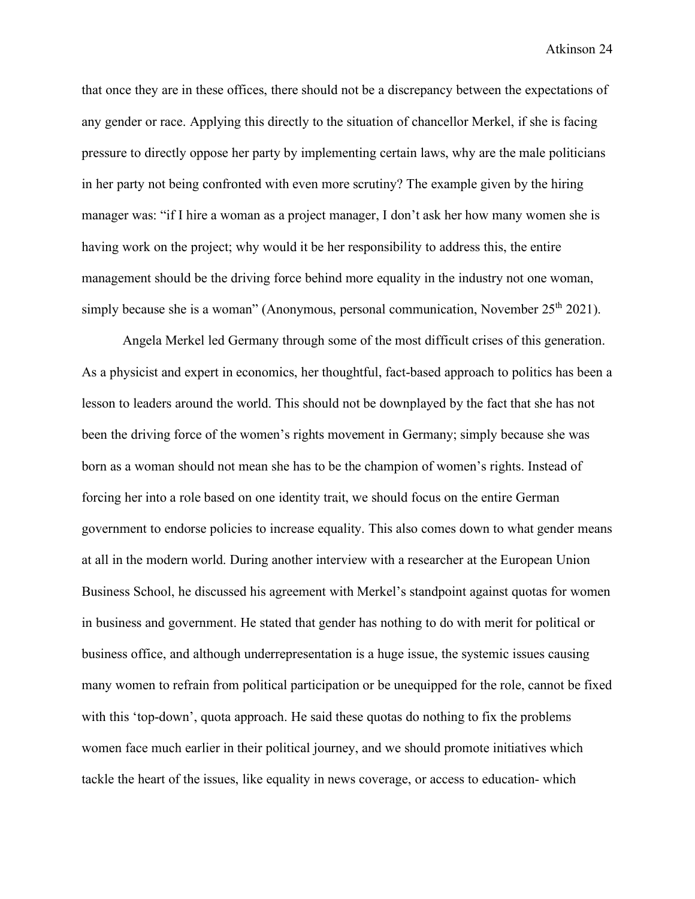that once they are in these offices, there should not be a discrepancy between the expectations of any gender or race. Applying this directly to the situation of chancellor Merkel, if she is facing pressure to directly oppose her party by implementing certain laws, why are the male politicians in her party not being confronted with even more scrutiny? The example given by the hiring manager was: "if I hire a woman as a project manager, I don't ask her how many women she is having work on the project; why would it be her responsibility to address this, the entire management should be the driving force behind more equality in the industry not one woman, simply because she is a woman" (Anonymous, personal communication, November  $25<sup>th</sup> 2021$ ).

Angela Merkel led Germany through some of the most difficult crises of this generation. As a physicist and expert in economics, her thoughtful, fact-based approach to politics has been a lesson to leaders around the world. This should not be downplayed by the fact that she has not been the driving force of the women's rights movement in Germany; simply because she was born as a woman should not mean she has to be the champion of women's rights. Instead of forcing her into a role based on one identity trait, we should focus on the entire German government to endorse policies to increase equality. This also comes down to what gender means at all in the modern world. During another interview with a researcher at the European Union Business School, he discussed his agreement with Merkel's standpoint against quotas for women in business and government. He stated that gender has nothing to do with merit for political or business office, and although underrepresentation is a huge issue, the systemic issues causing many women to refrain from political participation or be unequipped for the role, cannot be fixed with this 'top-down', quota approach. He said these quotas do nothing to fix the problems women face much earlier in their political journey, and we should promote initiatives which tackle the heart of the issues, like equality in news coverage, or access to education- which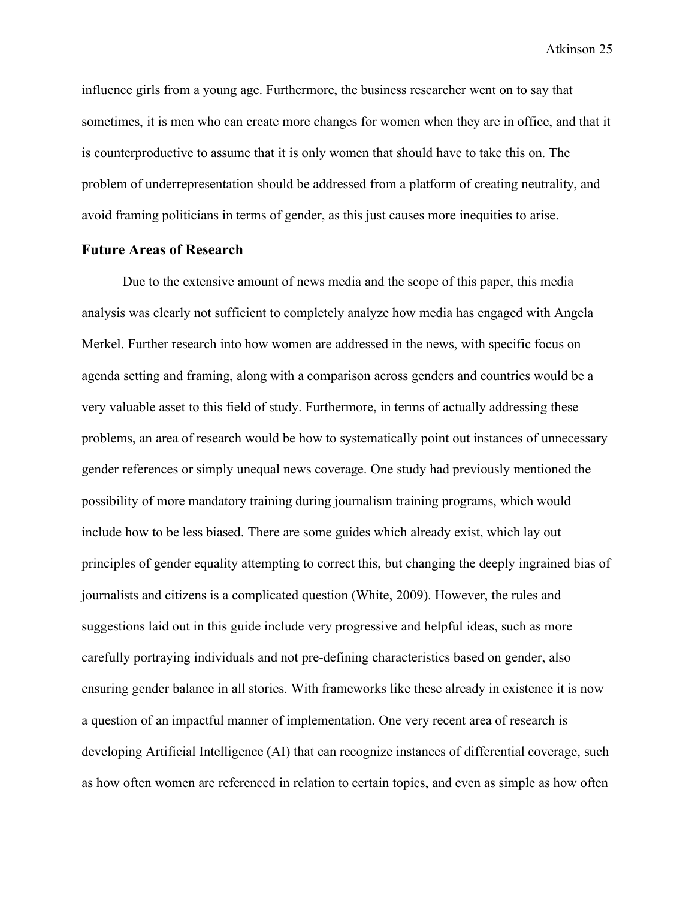influence girls from a young age. Furthermore, the business researcher went on to say that sometimes, it is men who can create more changes for women when they are in office, and that it is counterproductive to assume that it is only women that should have to take this on. The problem of underrepresentation should be addressed from a platform of creating neutrality, and avoid framing politicians in terms of gender, as this just causes more inequities to arise.

#### <span id="page-25-0"></span>**Future Areas of Research**

Due to the extensive amount of news media and the scope of this paper, this media analysis was clearly not sufficient to completely analyze how media has engaged with Angela Merkel. Further research into how women are addressed in the news, with specific focus on agenda setting and framing, along with a comparison across genders and countries would be a very valuable asset to this field of study. Furthermore, in terms of actually addressing these problems, an area of research would be how to systematically point out instances of unnecessary gender references or simply unequal news coverage. One study had previously mentioned the possibility of more mandatory training during journalism training programs, which would include how to be less biased. There are some guides which already exist, which lay out principles of gender equality attempting to correct this, but changing the deeply ingrained bias of journalists and citizens is a complicated question (White, 2009). However, the rules and suggestions laid out in this guide include very progressive and helpful ideas, such as more carefully portraying individuals and not pre-defining characteristics based on gender, also ensuring gender balance in all stories. With frameworks like these already in existence it is now a question of an impactful manner of implementation. One very recent area of research is developing Artificial Intelligence (AI) that can recognize instances of differential coverage, such as how often women are referenced in relation to certain topics, and even as simple as how often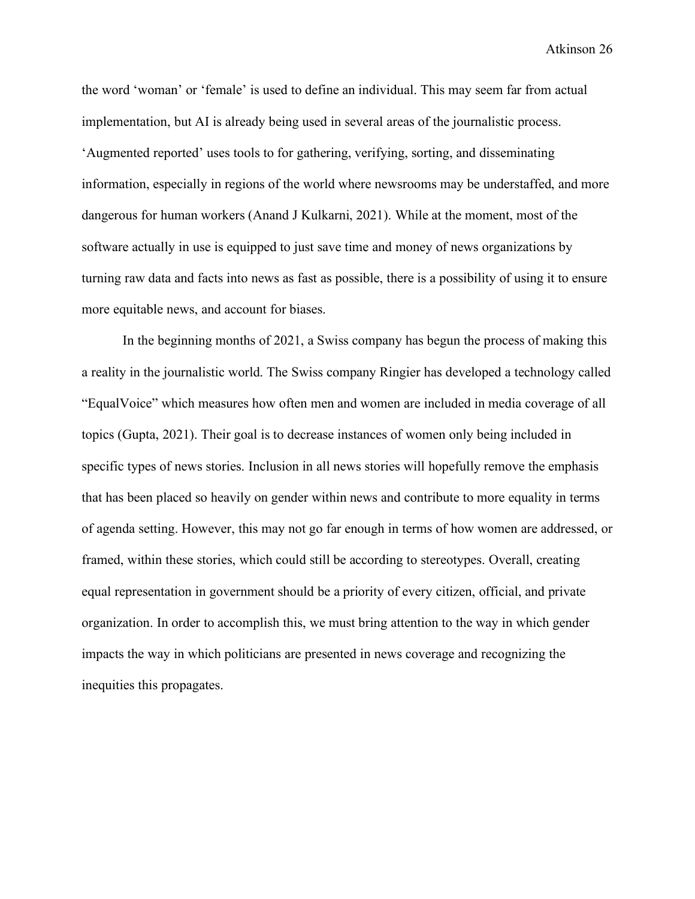the word 'woman' or 'female' is used to define an individual. This may seem far from actual implementation, but AI is already being used in several areas of the journalistic process. 'Augmented reported' uses tools to for gathering, verifying, sorting, and disseminating information, especially in regions of the world where newsrooms may be understaffed, and more dangerous for human workers (Anand J Kulkarni, 2021). While at the moment, most of the software actually in use is equipped to just save time and money of news organizations by turning raw data and facts into news as fast as possible, there is a possibility of using it to ensure more equitable news, and account for biases.

In the beginning months of 2021, a Swiss company has begun the process of making this a reality in the journalistic world. The Swiss company Ringier has developed a technology called "EqualVoice" which measures how often men and women are included in media coverage of all topics (Gupta, 2021). Their goal is to decrease instances of women only being included in specific types of news stories. Inclusion in all news stories will hopefully remove the emphasis that has been placed so heavily on gender within news and contribute to more equality in terms of agenda setting. However, this may not go far enough in terms of how women are addressed, or framed, within these stories, which could still be according to stereotypes. Overall, creating equal representation in government should be a priority of every citizen, official, and private organization. In order to accomplish this, we must bring attention to the way in which gender impacts the way in which politicians are presented in news coverage and recognizing the inequities this propagates.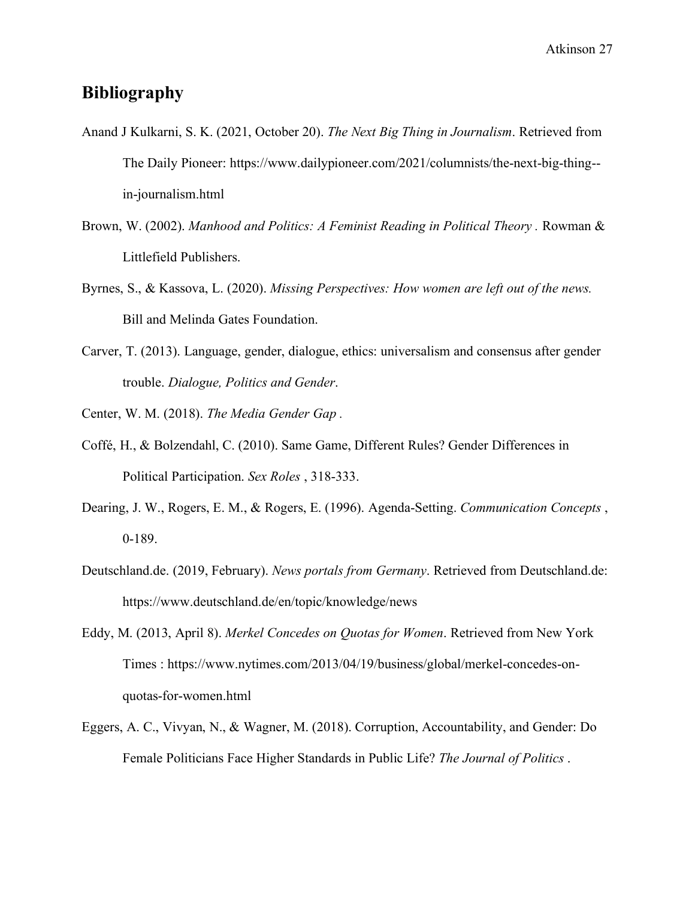## <span id="page-27-0"></span>**Bibliography**

- Anand J Kulkarni, S. K. (2021, October 20). *The Next Big Thing in Journalism*. Retrieved from The Daily Pioneer: https://www.dailypioneer.com/2021/columnists/the-next-big-thing- in-journalism.html
- Brown, W. (2002). *Manhood and Politics: A Feminist Reading in Political Theory .* Rowman & Littlefield Publishers.
- Byrnes, S., & Kassova, L. (2020). *Missing Perspectives: How women are left out of the news.* Bill and Melinda Gates Foundation.
- Carver, T. (2013). Language, gender, dialogue, ethics: universalism and consensus after gender trouble. *Dialogue, Politics and Gender*.

Center, W. M. (2018). *The Media Gender Gap .*

- Coffé, H., & Bolzendahl, C. (2010). Same Game, Different Rules? Gender Differences in Political Participation. *Sex Roles* , 318-333.
- Dearing, J. W., Rogers, E. M., & Rogers, E. (1996). Agenda-Setting. *Communication Concepts* , 0-189.
- Deutschland.de. (2019, February). *News portals from Germany*. Retrieved from Deutschland.de: https://www.deutschland.de/en/topic/knowledge/news
- Eddy, M. (2013, April 8). *Merkel Concedes on Quotas for Women*. Retrieved from New York Times : https://www.nytimes.com/2013/04/19/business/global/merkel-concedes-onquotas-for-women.html
- Eggers, A. C., Vivyan, N., & Wagner, M. (2018). Corruption, Accountability, and Gender: Do Female Politicians Face Higher Standards in Public Life? *The Journal of Politics* .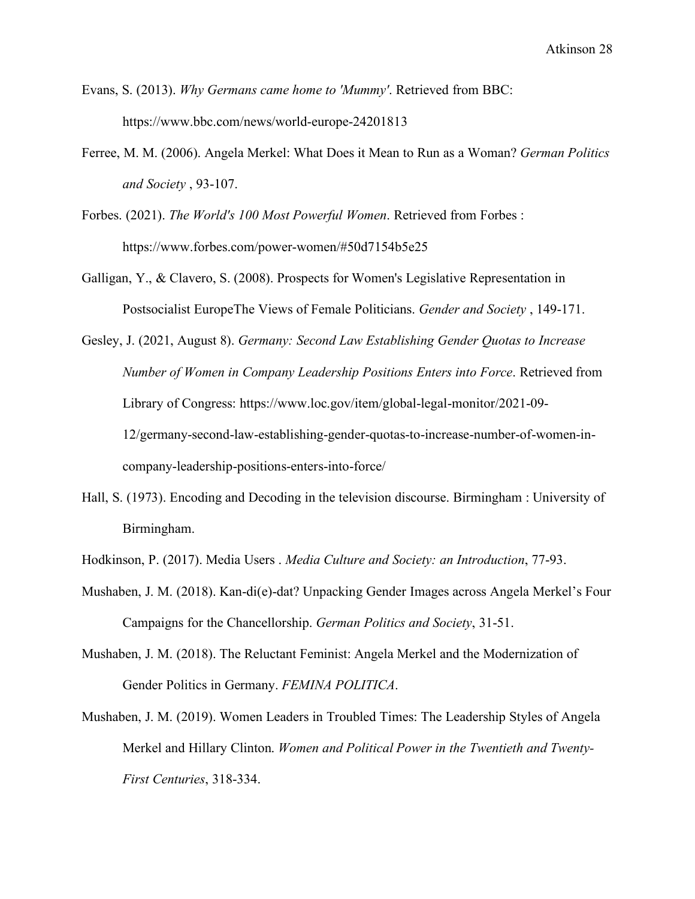Evans, S. (2013). *Why Germans came home to 'Mummy'*. Retrieved from BBC: https://www.bbc.com/news/world-europe-24201813

- Ferree, M. M. (2006). Angela Merkel: What Does it Mean to Run as a Woman? *German Politics and Society* , 93-107.
- Forbes. (2021). *The World's 100 Most Powerful Women*. Retrieved from Forbes : https://www.forbes.com/power-women/#50d7154b5e25
- Galligan, Y., & Clavero, S. (2008). Prospects for Women's Legislative Representation in Postsocialist EuropeThe Views of Female Politicians. *Gender and Society* , 149-171.

Gesley, J. (2021, August 8). *Germany: Second Law Establishing Gender Quotas to Increase Number of Women in Company Leadership Positions Enters into Force*. Retrieved from Library of Congress: https://www.loc.gov/item/global-legal-monitor/2021-09- 12/germany-second-law-establishing-gender-quotas-to-increase-number-of-women-incompany-leadership-positions-enters-into-force/

Hall, S. (1973). Encoding and Decoding in the television discourse. Birmingham : University of Birmingham.

Hodkinson, P. (2017). Media Users . *Media Culture and Society: an Introduction*, 77-93.

- Mushaben, J. M. (2018). Kan-di(e)-dat? Unpacking Gender Images across Angela Merkel's Four Campaigns for the Chancellorship. *German Politics and Society*, 31-51.
- Mushaben, J. M. (2018). The Reluctant Feminist: Angela Merkel and the Modernization of Gender Politics in Germany. *FEMINA POLITICA*.
- Mushaben, J. M. (2019). Women Leaders in Troubled Times: The Leadership Styles of Angela Merkel and Hillary Clinton. *Women and Political Power in the Twentieth and Twenty-First Centuries*, 318-334.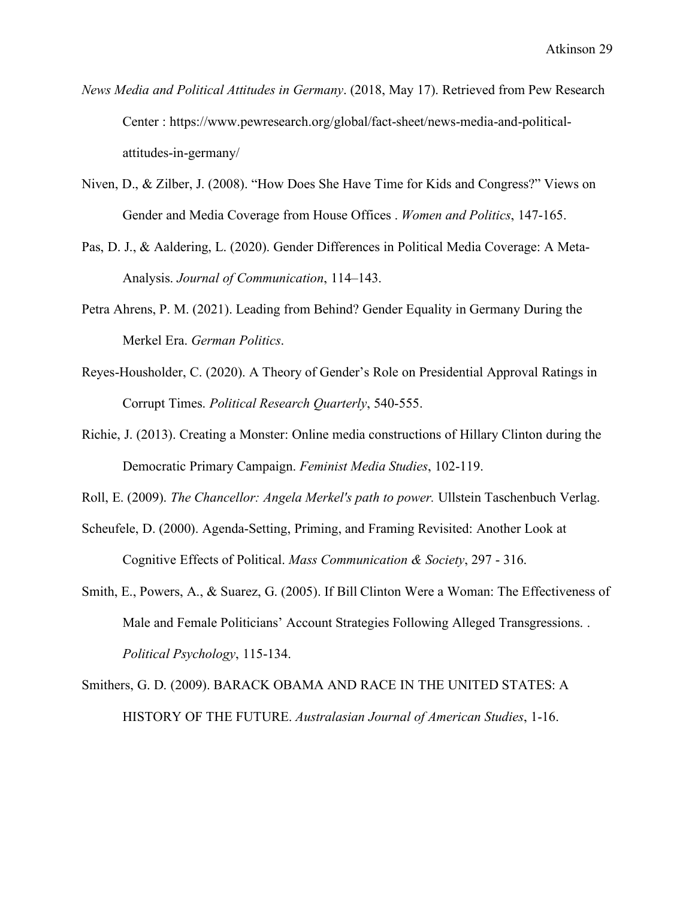- *News Media and Political Attitudes in Germany*. (2018, May 17). Retrieved from Pew Research Center : https://www.pewresearch.org/global/fact-sheet/news-media-and-politicalattitudes-in-germany/
- Niven, D., & Zilber, J. (2008). "How Does She Have Time for Kids and Congress?" Views on Gender and Media Coverage from House Offices . *Women and Politics*, 147-165.
- Pas, D. J., & Aaldering, L. (2020). Gender Differences in Political Media Coverage: A Meta-Analysis. *Journal of Communication*, 114–143.
- Petra Ahrens, P. M. (2021). Leading from Behind? Gender Equality in Germany During the Merkel Era. *German Politics*.
- Reyes-Housholder, C. (2020). A Theory of Gender's Role on Presidential Approval Ratings in Corrupt Times. *Political Research Quarterly*, 540-555.
- Richie, J. (2013). Creating a Monster: Online media constructions of Hillary Clinton during the Democratic Primary Campaign. *Feminist Media Studies*, 102-119.
- Roll, E. (2009). *The Chancellor: Angela Merkel's path to power.* Ullstein Taschenbuch Verlag.
- Scheufele, D. (2000). Agenda-Setting, Priming, and Framing Revisited: Another Look at Cognitive Effects of Political. *Mass Communication & Society*, 297 - 316.
- Smith, E., Powers, A., & Suarez, G. (2005). If Bill Clinton Were a Woman: The Effectiveness of Male and Female Politicians' Account Strategies Following Alleged Transgressions. . *Political Psychology*, 115-134.
- Smithers, G. D. (2009). BARACK OBAMA AND RACE IN THE UNITED STATES: A HISTORY OF THE FUTURE. *Australasian Journal of American Studies*, 1-16.